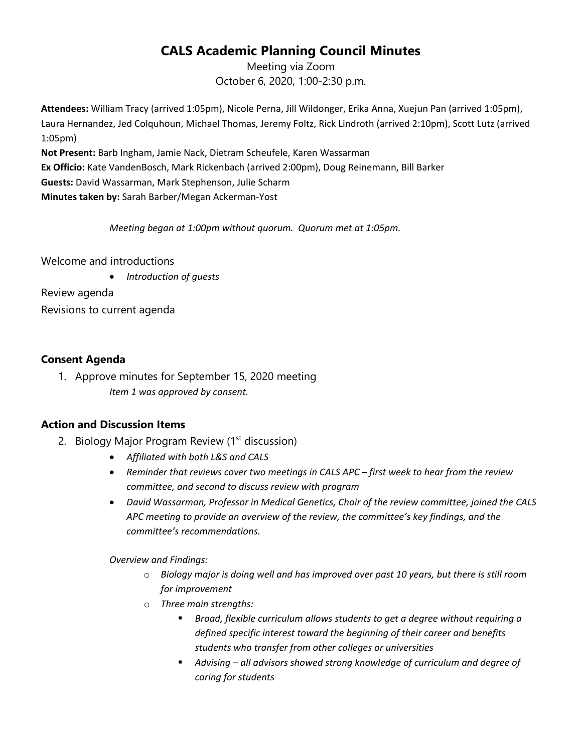## **CALS Academic Planning Council Minutes**

Meeting via Zoom October 6, 2020, 1:00-2:30 p.m.

**Attendees:** William Tracy (arrived 1:05pm), Nicole Perna, Jill Wildonger, Erika Anna, Xuejun Pan (arrived 1:05pm), Laura Hernandez, Jed Colquhoun, Michael Thomas, Jeremy Foltz, Rick Lindroth (arrived 2:10pm), Scott Lutz (arrived 1:05pm)

**Not Present:** Barb Ingham, Jamie Nack, Dietram Scheufele, Karen Wassarman **Ex Officio:** Kate VandenBosch, Mark Rickenbach (arrived 2:00pm), Doug Reinemann, Bill Barker **Guests:** David Wassarman, Mark Stephenson, Julie Scharm **Minutes taken by:** Sarah Barber/Megan Ackerman-Yost

*Meeting began at 1:00pm without quorum. Quorum met at 1:05pm.*

Welcome and introductions

• *Introduction of guests*

Review agenda Revisions to current agenda

## **Consent Agenda**

1. Approve minutes for September 15, 2020 meeting *Item 1 was approved by consent.*

## **Action and Discussion Items**

- 2. Biology Major Program Review (1<sup>st</sup> discussion)
	- *Affiliated with both L&S and CALS*
	- *Reminder that reviews cover two meetings in CALS APC – first week to hear from the review committee, and second to discuss review with program*
	- *David Wassarman, Professor in Medical Genetics, Chair of the review committee, joined the CALS APC meeting to provide an overview of the review, the committee's key findings, and the committee's recommendations.*

*Overview and Findings:*

- o *Biology major is doing well and has improved over past 10 years, but there is still room for improvement*
- o *Three main strengths:*
	- *Broad, flexible curriculum allows students to get a degree without requiring a defined specific interest toward the beginning of their career and benefits students who transfer from other colleges or universities*
	- *Advising – all advisors showed strong knowledge of curriculum and degree of caring for students*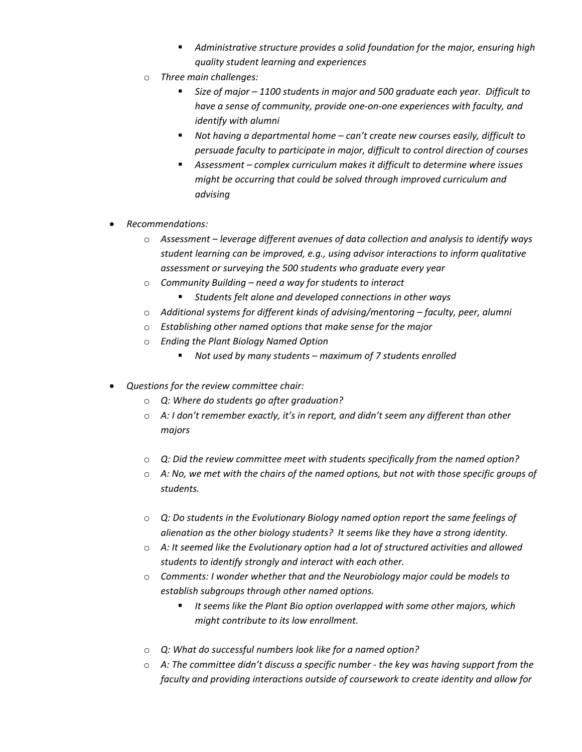- *Administrative structure provides a solid foundation for the major, ensuring high quality student learning and experiences*
- o *Three main challenges:*
	- *Size of major – 1100 students in major and 500 graduate each year. Difficult to have a sense of community, provide one-on-one experiences with faculty, and identify with alumni*
	- *Not having a departmental home – can't create new courses easily, difficult to persuade faculty to participate in major, difficult to control direction of courses*
	- *Assessment – complex curriculum makes it difficult to determine where issues might be occurring that could be solved through improved curriculum and advising*
- *Recommendations:*
	- o *Assessment – leverage different avenues of data collection and analysis to identify ways student learning can be improved, e.g., using advisor interactions to inform qualitative assessment or surveying the 500 students who graduate every year*
	- o *Community Building – need a way for students to interact*
		- *Students felt alone and developed connections in other ways*
	- o *Additional systems for different kinds of advising/mentoring – faculty, peer, alumni*
	- o *Establishing other named options that make sense for the major*
	- o *Ending the Plant Biology Named Option*
		- *Not used by many students – maximum of 7 students enrolled*
- *Questions for the review committee chair:*
	- o *Q: Where do students go after graduation?*
	- o *A: I don't remember exactly, it's in report, and didn't seem any different than other majors*
	- o *Q: Did the review committee meet with students specifically from the named option?*
	- o *A: No, we met with the chairs of the named options, but not with those specific groups of students.*
	- o *Q: Do students in the Evolutionary Biology named option report the same feelings of alienation as the other biology students? It seems like they have a strong identity.*
	- o *A: It seemed like the Evolutionary option had a lot of structured activities and allowed students to identify strongly and interact with each other.*
	- o *Comments: I wonder whether that and the Neurobiology major could be models to establish subgroups through other named options.*
		- *It seems like the Plant Bio option overlapped with some other majors, which might contribute to its low enrollment.*
	- o *Q: What do successful numbers look like for a named option?*
	- o *A: The committee didn't discuss a specific number - the key was having support from the faculty and providing interactions outside of coursework to create identity and allow for*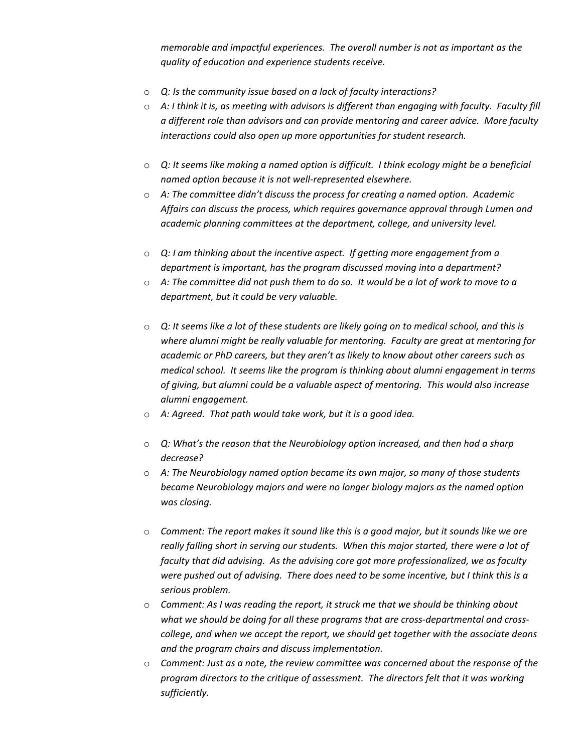*memorable and impactful experiences. The overall number is not as important as the quality of education and experience students receive.*

- o *Q: Is the community issue based on a lack of faculty interactions?*
- o *A: I think it is, as meeting with advisors is different than engaging with faculty. Faculty fill a different role than advisors and can provide mentoring and career advice. More faculty interactions could also open up more opportunities for student research.*
- o *Q: It seems like making a named option is difficult. I think ecology might be a beneficial named option because it is not well-represented elsewhere.*
- o *A: The committee didn't discuss the process for creating a named option. Academic Affairs can discuss the process, which requires governance approval through Lumen and academic planning committees at the department, college, and university level.*
- o *Q: I am thinking about the incentive aspect. If getting more engagement from a department is important, has the program discussed moving into a department?*
- o *A: The committee did not push them to do so. It would be a lot of work to move to a department, but it could be very valuable.*
- o *Q: It seems like a lot of these students are likely going on to medical school, and this is where alumni might be really valuable for mentoring. Faculty are great at mentoring for academic or PhD careers, but they aren't as likely to know about other careers such as medical school. It seems like the program is thinking about alumni engagement in terms of giving, but alumni could be a valuable aspect of mentoring. This would also increase alumni engagement.*
- o *A: Agreed. That path would take work, but it is a good idea.*
- o *Q: What's the reason that the Neurobiology option increased, and then had a sharp decrease?*
- o *A: The Neurobiology named option became its own major, so many of those students became Neurobiology majors and were no longer biology majors as the named option was closing.*
- o *Comment: The report makes it sound like this is a good major, but it sounds like we are really falling short in serving our students. When this major started, there were a lot of faculty that did advising. As the advising core got more professionalized, we as faculty were pushed out of advising. There does need to be some incentive, but I think this is a serious problem.*
- o *Comment: As I was reading the report, it struck me that we should be thinking about what we should be doing for all these programs that are cross-departmental and crosscollege, and when we accept the report, we should get together with the associate deans and the program chairs and discuss implementation.*
- o *Comment: Just as a note, the review committee was concerned about the response of the program directors to the critique of assessment. The directors felt that it was working sufficiently.*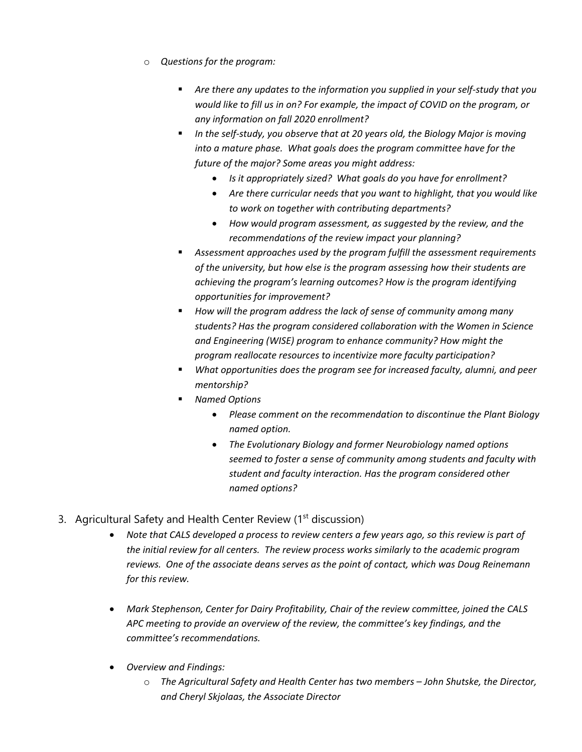- o *Questions for the program:* 
	- *Are there any updates to the information you supplied in your self-study that you would like to fill us in on? For example, the impact of COVID on the program, or any information on fall 2020 enrollment?*
	- *In the self-study, you observe that at 20 years old, the Biology Major is moving into a mature phase. What goals does the program committee have for the future of the major? Some areas you might address:* 
		- *Is it appropriately sized? What goals do you have for enrollment?*
		- *Are there curricular needs that you want to highlight, that you would like to work on together with contributing departments?*
		- *How would program assessment, as suggested by the review, and the recommendations of the review impact your planning?*
	- *Assessment approaches used by the program fulfill the assessment requirements of the university, but how else is the program assessing how their students are achieving the program's learning outcomes? How is the program identifying opportunities for improvement?*
	- *How will the program address the lack of sense of community among many students? Has the program considered collaboration with the Women in Science and Engineering (WISE) program to enhance community? How might the program reallocate resources to incentivize more faculty participation?*
	- *What opportunities does the program see for increased faculty, alumni, and peer mentorship?*
	- *Named Options*
		- *Please comment on the recommendation to discontinue the Plant Biology named option.*
		- *The Evolutionary Biology and former Neurobiology named options seemed to foster a sense of community among students and faculty with student and faculty interaction. Has the program considered other named options?*
- 3. Agricultural Safety and Health Center Review (1<sup>st</sup> discussion)
	- *Note that CALS developed a process to review centers a few years ago, so this review is part of the initial review for all centers. The review process works similarly to the academic program reviews. One of the associate deans serves as the point of contact, which was Doug Reinemann for this review.*
	- *Mark Stephenson, Center for Dairy Profitability, Chair of the review committee, joined the CALS APC meeting to provide an overview of the review, the committee's key findings, and the committee's recommendations.*
	- *Overview and Findings:*
		- o *The Agricultural Safety and Health Center has two members – John Shutske, the Director, and Cheryl Skjolaas, the Associate Director*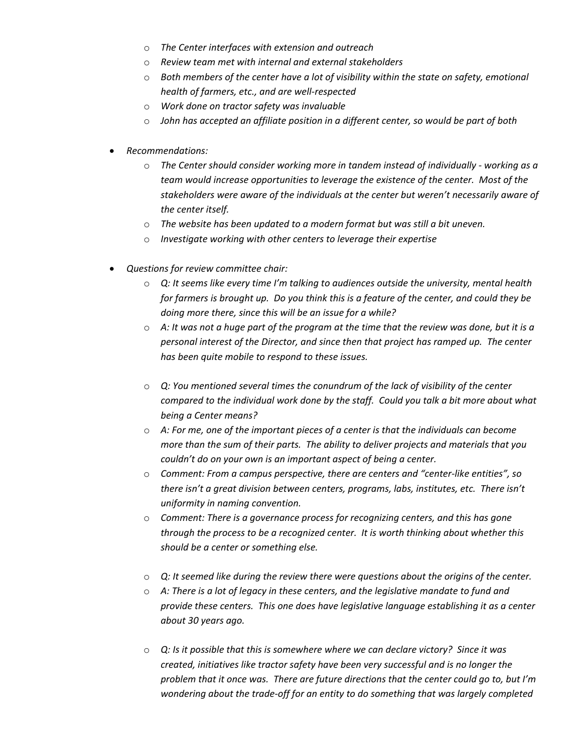- o *The Center interfaces with extension and outreach*
- o *Review team met with internal and external stakeholders*
- o *Both members of the center have a lot of visibility within the state on safety, emotional health of farmers, etc., and are well-respected*
- o *Work done on tractor safety was invaluable*
- o *John has accepted an affiliate position in a different center, so would be part of both*
- *Recommendations:*
	- o *The Center should consider working more in tandem instead of individually - working as a team would increase opportunities to leverage the existence of the center. Most of the stakeholders were aware of the individuals at the center but weren't necessarily aware of the center itself.*
	- o *The website has been updated to a modern format but was still a bit uneven.*
	- o *Investigate working with other centers to leverage their expertise*
- *Questions for review committee chair:*
	- o *Q: It seems like every time I'm talking to audiences outside the university, mental health for farmers is brought up. Do you think this is a feature of the center, and could they be doing more there, since this will be an issue for a while?*
	- o *A: It was not a huge part of the program at the time that the review was done, but it is a personal interest of the Director, and since then that project has ramped up. The center has been quite mobile to respond to these issues.*
	- o *Q: You mentioned several times the conundrum of the lack of visibility of the center compared to the individual work done by the staff. Could you talk a bit more about what being a Center means?*
	- o *A: For me, one of the important pieces of a center is that the individuals can become more than the sum of their parts. The ability to deliver projects and materials that you couldn't do on your own is an important aspect of being a center.*
	- o *Comment: From a campus perspective, there are centers and "center-like entities", so there isn't a great division between centers, programs, labs, institutes, etc. There isn't uniformity in naming convention.*
	- o *Comment: There is a governance process for recognizing centers, and this has gone through the process to be a recognized center. It is worth thinking about whether this should be a center or something else.*
	- o *Q: It seemed like during the review there were questions about the origins of the center.*
	- o *A: There is a lot of legacy in these centers, and the legislative mandate to fund and provide these centers. This one does have legislative language establishing it as a center about 30 years ago.*
	- o *Q: Is it possible that this is somewhere where we can declare victory? Since it was created, initiatives like tractor safety have been very successful and is no longer the problem that it once was. There are future directions that the center could go to, but I'm wondering about the trade-off for an entity to do something that was largely completed*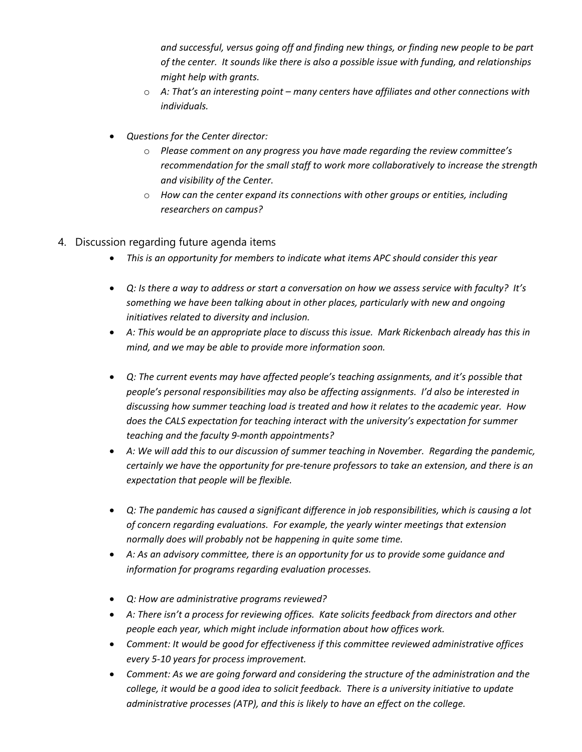*and successful, versus going off and finding new things, or finding new people to be part of the center. It sounds like there is also a possible issue with funding, and relationships might help with grants.*

- o *A: That's an interesting point – many centers have affiliates and other connections with individuals.*
- *Questions for the Center director:*
	- o *Please comment on any progress you have made regarding the review committee's recommendation for the small staff to work more collaboratively to increase the strength and visibility of the Center.*
	- o *How can the center expand its connections with other groups or entities, including researchers on campus?*
- 4. Discussion regarding future agenda items
	- *This is an opportunity for members to indicate what items APC should consider this year*
	- *Q: Is there a way to address or start a conversation on how we assess service with faculty? It's something we have been talking about in other places, particularly with new and ongoing initiatives related to diversity and inclusion.*
	- *A: This would be an appropriate place to discuss this issue. Mark Rickenbach already has this in mind, and we may be able to provide more information soon.*
	- *Q: The current events may have affected people's teaching assignments, and it's possible that people's personal responsibilities may also be affecting assignments. I'd also be interested in discussing how summer teaching load is treated and how it relates to the academic year. How does the CALS expectation for teaching interact with the university's expectation for summer teaching and the faculty 9-month appointments?*
	- *A: We will add this to our discussion of summer teaching in November. Regarding the pandemic, certainly we have the opportunity for pre-tenure professors to take an extension, and there is an expectation that people will be flexible.*
	- *Q: The pandemic has caused a significant difference in job responsibilities, which is causing a lot of concern regarding evaluations. For example, the yearly winter meetings that extension normally does will probably not be happening in quite some time.*
	- *A: As an advisory committee, there is an opportunity for us to provide some guidance and information for programs regarding evaluation processes.*
	- *Q: How are administrative programs reviewed?*
	- *A: There isn't a process for reviewing offices. Kate solicits feedback from directors and other people each year, which might include information about how offices work.*
	- *Comment: It would be good for effectiveness if this committee reviewed administrative offices every 5-10 years for process improvement.*
	- *Comment: As we are going forward and considering the structure of the administration and the college, it would be a good idea to solicit feedback. There is a university initiative to update administrative processes (ATP), and this is likely to have an effect on the college.*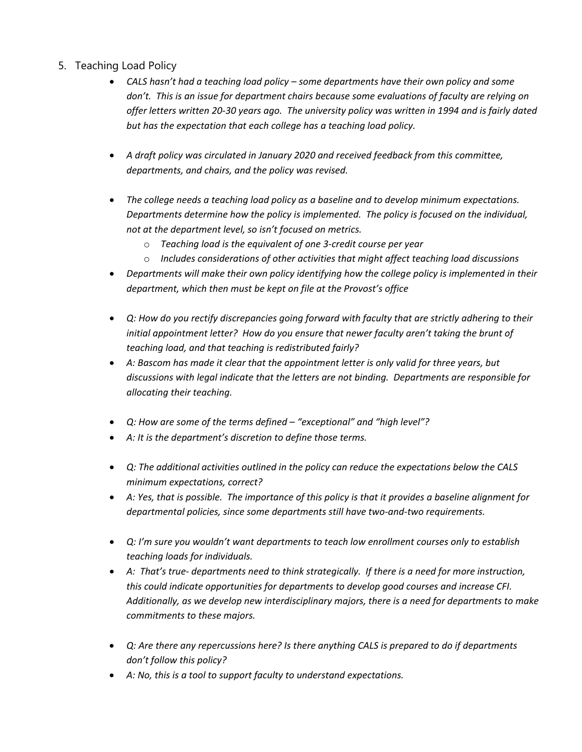- 5. Teaching Load Policy
	- *CALS hasn't had a teaching load policy – some departments have their own policy and some don't. This is an issue for department chairs because some evaluations of faculty are relying on offer letters written 20-30 years ago. The university policy was written in 1994 and is fairly dated but has the expectation that each college has a teaching load policy.*
	- *A draft policy was circulated in January 2020 and received feedback from this committee, departments, and chairs, and the policy was revised.*
	- *The college needs a teaching load policy as a baseline and to develop minimum expectations. Departments determine how the policy is implemented. The policy is focused on the individual, not at the department level, so isn't focused on metrics.*
		- o *Teaching load is the equivalent of one 3-credit course per year*
		- o *Includes considerations of other activities that might affect teaching load discussions*
	- *Departments will make their own policy identifying how the college policy is implemented in their department, which then must be kept on file at the Provost's office*
	- *Q: How do you rectify discrepancies going forward with faculty that are strictly adhering to their initial appointment letter? How do you ensure that newer faculty aren't taking the brunt of teaching load, and that teaching is redistributed fairly?*
	- *A: Bascom has made it clear that the appointment letter is only valid for three years, but discussions with legal indicate that the letters are not binding. Departments are responsible for allocating their teaching.*
	- *Q: How are some of the terms defined – "exceptional" and "high level"?*
	- *A: It is the department's discretion to define those terms.*
	- *Q: The additional activities outlined in the policy can reduce the expectations below the CALS minimum expectations, correct?*
	- *A: Yes, that is possible. The importance of this policy is that it provides a baseline alignment for departmental policies, since some departments still have two-and-two requirements.*
	- *Q: I'm sure you wouldn't want departments to teach low enrollment courses only to establish teaching loads for individuals.*
	- *A: That's true- departments need to think strategically. If there is a need for more instruction, this could indicate opportunities for departments to develop good courses and increase CFI. Additionally, as we develop new interdisciplinary majors, there is a need for departments to make commitments to these majors.*
	- *Q: Are there any repercussions here? Is there anything CALS is prepared to do if departments don't follow this policy?*
	- *A: No, this is a tool to support faculty to understand expectations.*